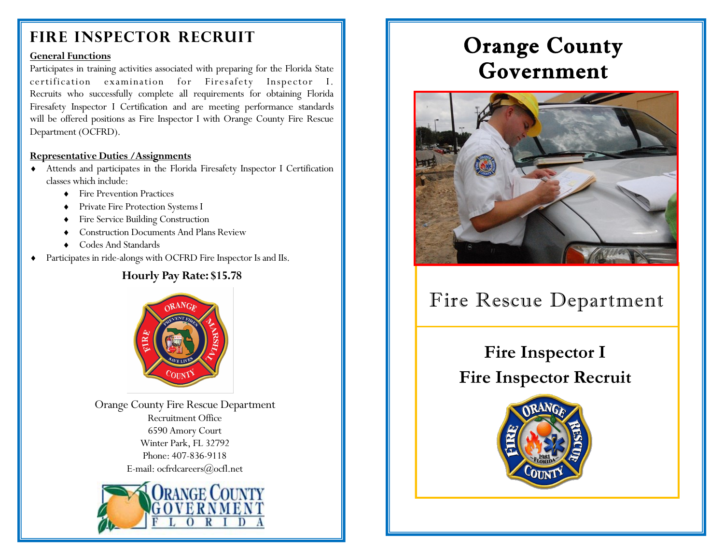## **Fire Inspector Recruit**

#### **General Functions**

Participates in training activities associated with preparing for the Florida State certification examination for Firesafety Inspector I. Recruits who successfully complete all requirements for obtaining Florida Firesafety Inspector I Certification and are meeting performance standards will be offered positions as Fire Inspector I with Orange County Fire Rescue Department (OCFRD).

#### **Representative Duties /Assignments**

- Attends and participates in the Florida Firesafety Inspector I Certification classes which include:
	- Fire Prevention Practices
	- Private Fire Protection Systems I
	- Fire Service Building Construction
	- Construction Documents And Plans Review
	- Codes And Standards
- Participates in ride-alongs with OCFRD Fire Inspector Is and IIs.

## **Hourly Pay Rate: \$15.78**



Orange County Fire Rescue Department Recruitment Office 6590 Amory Court Winter Park, FL 32792 Phone: 407-836-9118 E-mail: [ocfrdcareers@ocfl.net](mailto:ocfrdcareers@ocfl.net)



# Orange County Government



# Fire Rescue Department

# **Fire Inspector I Fire Inspector Recruit**